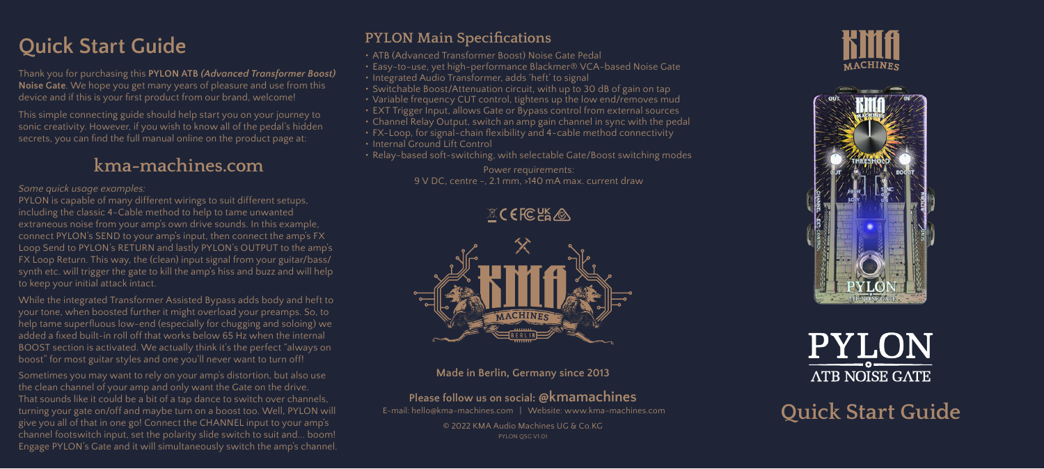# **Quick Start Guide**

Thank you for purchasing this **PYLON ATB** *(Advanced Transformer Boost)* **Noise Gate**. We hope you get many years of pleasure and use from this device and if this is your first product from our brand, welcome!

This simple connecting guide should help start you on your journey to sonic creativity. However, if you wish to know all of the pedal's hidden secrets, you can find the full manual online on the product page at:

## **kma-machines.com**

#### *Some quick usage examples:*

PYLON is capable of many different wirings to suit different setups, including the classic 4-Cable method to help to tame unwanted extraneous noise from your amp's own drive sounds. In this example, connect PYLON's SEND to your amp's input, then connect the amp's FX Loop Send to PYLON's RETURN and lastly PYLON's OUTPUT to the amp's FX Loop Return. This way, the (clean) input signal from your guitar/bass/ synth etc. will trigger the gate to kill the amp's hiss and buzz and will help to keep your initial attack intact.

While the integrated Transformer Assisted Bypass adds body and heft to your tone, when boosted further it might overload your preamps. So, to help tame superfluous low-end (especially for chugging and soloing) we added a fixed built-in roll off that works below 65 Hz when the internal BOOST section is activated. We actually think it's the perfect "always on boost" for most guitar styles and one you'll never want to turn off!

Sometimes you may want to rely on your amp's distortion, but also use the clean channel of your amp and only want the Gate on the drive. That sounds like it could be a bit of a tap dance to switch over channels, turning your gate on/off and maybe turn on a boost too. Well, PYLON will give you all of that in one go! Connect the CHANNEL input to your amp's channel footswitch input, set the polarity slide switch to suit and... boom! Engage PYLON's Gate and it will simultaneously switch the amp's channel.

### **PYLON Main Specifications**

- ATB (Advanced Transformer Boost) Noise Gate Pedal
- Easy-to-use, yet high-performance Blackmer® VCA-based Noise Gate
- Integrated Audio Transformer, adds 'heft' to signal
- Switchable Boost/Attenuation circuit, with up to 30 dB of gain on tap
- Variable frequency CUT control, tightens up the low end/removes mud
- EXT Trigger Input, allows Gate or Bypass control from external sources
- Channel Relay Output, switch an amp gain channel in sync with the pedal
- FX-Loop, for signal-chain flexibility and 4-cable method connectivity
- Internal Ground Lift Control
- Relay-based soft-switching, with selectable Gate/Boost switching modes

Power requirements: 9 V DC, centre -, 2.1 mm, >140 mA max. current draw

 $X$ CEFCK $A$ 



#### **Made in Berlin, Germany since 2013**

### **Please follow us on social: @kmamachines**

 E-mail: hello@kma-machines.com | Website: www.kma-machines.com © 2022 KMA Audio Machines UG & Co.KG PYLON QSG V1.01